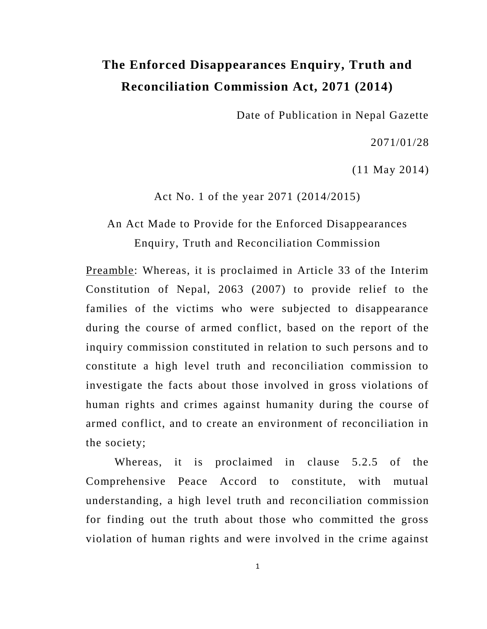# **The Enforced Disappearances Enquiry, Truth and Reconciliation Commission Act, 2071 (2014)**

Date of Publication in Nepal Gazette

2071/01/28

(11 May 2014)

Act No. 1 of the year 2071 (2014/2015)

# An Act Made to Provide for the Enforced Disappearances Enquiry, Truth and Reconciliation Commission

Preamble: Whereas, it is proclaimed in Article 33 of the Interim Constitution of Nepal, 2063 (2007) to provide relief to the families of the victims who were subjected to disappearance during the course of armed conflict, based on the report of the inquiry commission constituted in relation to such persons and to constitute a high level truth and reconciliation commission to investigate the facts about those involved in gross violations of human rights and crimes against humanity during the course of armed conflict, and to create an environment of reconciliation in the society;

Whereas, it is proclaimed in clause 5.2.5 of the Comprehensive Peace Accord to constitute, with mutual understanding, a high level truth and reconciliation commission for finding out the truth about those who committed the gross violation of human rights and were involved in the crime against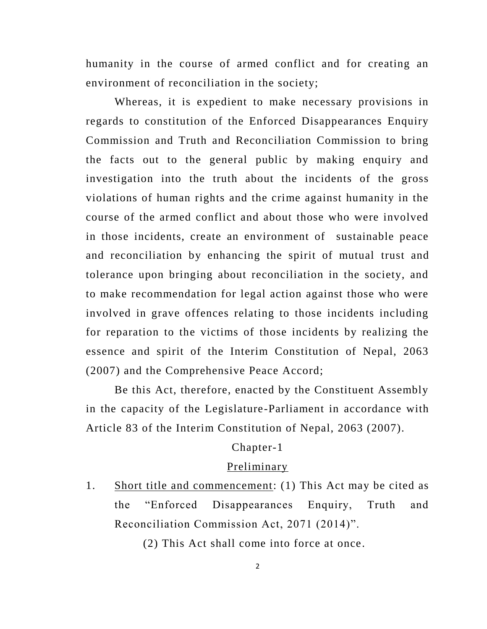humanity in the course of armed conflict and for creating an environment of reconciliation in the society;

Whereas, it is expedient to make necessary provisions in regards to constitution of the Enforced Disappearances Enquiry Commission and Truth and Reconciliation Commission to bring the facts out to the general public by making enquiry and investigation into the truth about the incidents of the gross violations of human rights and the crime against humanity in the course of the armed conflict and about those who were involved in those incidents, create an environment of sustainable peace and reconciliation by enhancing the spirit of mutual trust and tolerance upon bringing about reconciliation in the society, and to make recommendation for legal action against those who were involved in grave offences relating to those incidents including for reparation to the victims of those incidents by realizing the essence and spirit of the Interim Constitution of Nepal, 2063 (2007) and the Comprehensive Peace Accord;

Be this Act, therefore, enacted by the Constituent Assembly in the capacity of the Legislature-Parliament in accordance with Article 83 of the Interim Constitution of Nepal, 2063 (2007).

#### Chapter-1

#### Preliminary

1. Short title and commencement: (1) This Act may be cited as the "Enforced Disappearances Enquiry, Truth and Reconciliation Commission Act, 2071 (2014)".

(2) This Act shall come into force at once.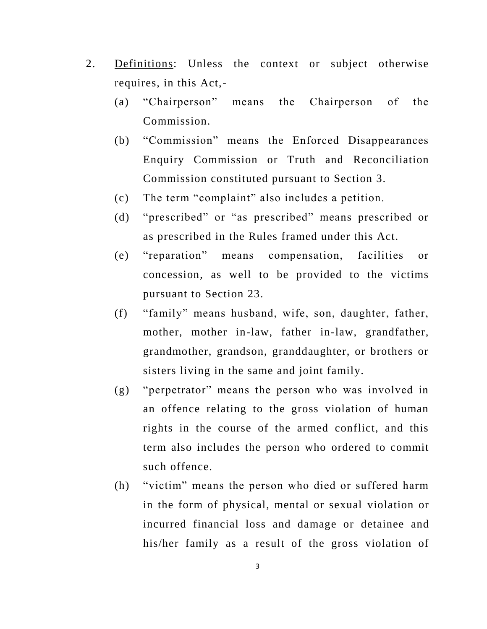- 2. Definitions: Unless the context or subject otherwise requires, in this Act,-
	- (a) "Chairperson" means the Chairperson of the Commission.
	- (b) "Commission" means the Enforced Disappearances Enquiry Commission or Truth and Reconciliation Commission constituted pursuant to Section 3.
	- (c) The term "complaint" also includes a petition.
	- (d) "prescribed" or "as prescribed" means prescribed or as prescribed in the Rules framed under this Act.
	- (e) "reparation" means compensation, facilities or concession, as well to be provided to the victims pursuant to Section 23.
	- (f) "family" means husband, wife, son, daughter, father, mother, mother in-law, father in-law, grandfather, grandmother, grandson, granddaughter, or brothers or sisters living in the same and joint family.
	- (g) "perpetrator" means the person who was involved in an offence relating to the gross violation of human rights in the course of the armed conflict, and this term also includes the person who ordered to commit such offence.
	- (h) "victim" means the person who died or suffered harm in the form of physical, mental or sexual violation or incurred financial loss and damage or detainee and his/her family as a result of the gross violation of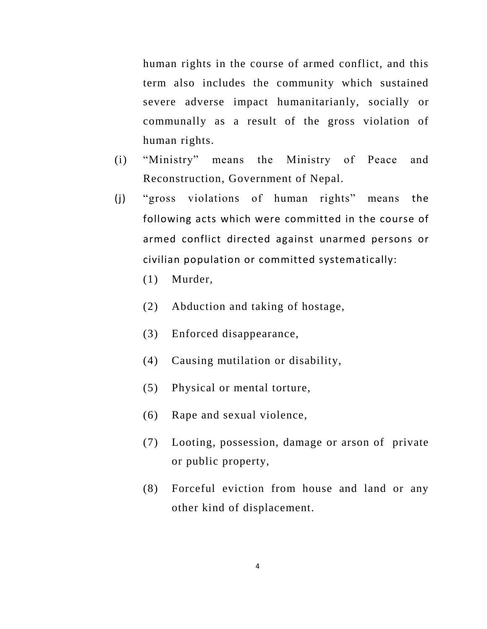human rights in the course of armed conflict, and this term also includes the community which sustained severe adverse impact humanitarianly, socially or communally as a result of the gross violation of human rights.

- (i) "Ministry" means the Ministry of Peace and Reconstruction, Government of Nepal.
- (j) "gross violations of human rights" means the following acts which were committed in the course of armed conflict directed against unarmed persons or civilian population or committed systematically:
	- (1) Murder,
	- (2) Abduction and taking of hostage,
	- (3) Enforced disappearance,
	- (4) Causing mutilation or disability,
	- (5) Physical or mental torture,
	- (6) Rape and sexual violence,
	- (7) Looting, possession, damage or arson of private or public property,
	- (8) Forceful eviction from house and land or any other kind of displacement.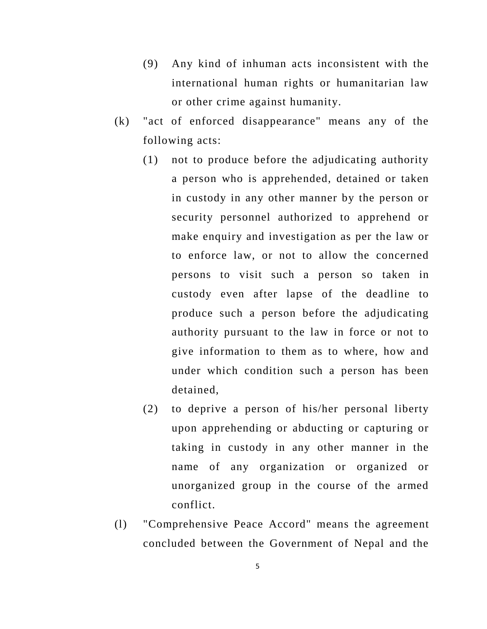- (9) Any kind of inhuman acts inconsistent with the international human rights or humanitarian law or other crime against humanity.
- (k) "act of enforced disappearance" means any of the following acts:
	- (1) not to produce before the adjudicating authority a person who is apprehended, detained or taken in custody in any other manner by the person or security personnel authorized to apprehend or make enquiry and investigation as per the law or to enforce law, or not to allow the concerned persons to visit such a person so taken in custody even after lapse of the deadline to produce such a person before the adjudicating authority pursuant to the law in force or not to give information to them as to where, how and under which condition such a person has been detained,
	- (2) to deprive a person of his/her personal liberty upon apprehending or abducting or capturing or taking in custody in any other manner in the name of any organization or organized or unorganized group in the course of the armed conflict.
- (l) "Comprehensive Peace Accord" means the agreement concluded between the Government of Nepal and the

5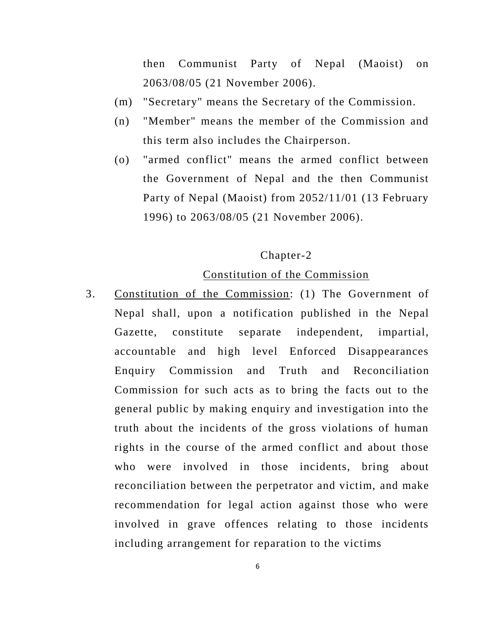then Communist Party of Nepal (Maoist) on 2063/08/05 (21 November 2006).

- (m) "Secretary" means the Secretary of the Commission.
- (n) "Member" means the member of the Commission and this term also includes the Chairperson.
- (o) "armed conflict" means the armed conflict between the Government of Nepal and the then Communist Party of Nepal (Maoist) from 2052/11/01 (13 February 1996) to 2063/08/05 (21 November 2006).

## Chapter-2

### Constitution of the Commission

3. Constitution of the Commission: (1) The Government of Nepal shall, upon a notification published in the Nepal Gazette, constitute separate independent, impartial, accountable and high level Enforced Disappearances Enquiry Commission and Truth and Reconciliation Commission for such acts as to bring the facts out to the general public by making enquiry and investigation into the truth about the incidents of the gross violations of human rights in the course of the armed conflict and about those who were involved in those incidents, bring about reconciliation between the perpetrator and victim, and make recommendation for legal action against those who were involved in grave offences relating to those incidents including arrangement for reparation to the victims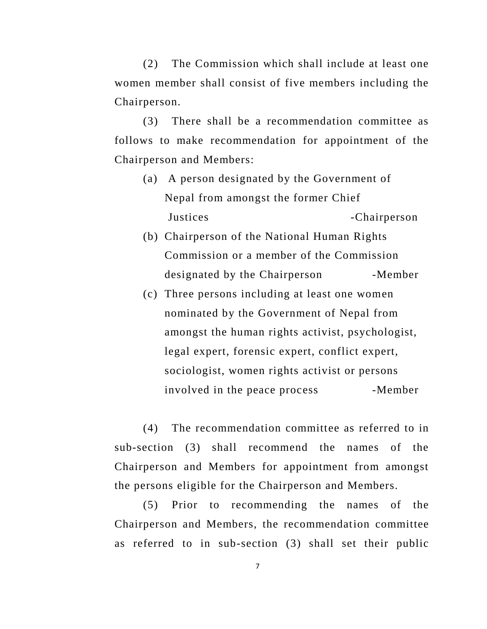(2) The Commission which shall include at least one women member shall consist of five members including the Chairperson.

(3) There shall be a recommendation committee as follows to make recommendation for appointment of the Chairperson and Members:

- (a) A person designated by the Government of Nepal from amongst the former Chief Justices -Chairperson
- (b) Chairperson of the National Human Rights Commission or a member of the Commission designated by the Chairperson -Member
- (c) Three persons including at least one women nominated by the Government of Nepal from amongst the human rights activist, psychologist, legal expert, forensic expert, conflict expert, sociologist, women rights activist or persons involved in the peace process -Member

(4) The recommendation committee as referred to in sub-section (3) shall recommend the names of the Chairperson and Members for appointment from amongst the persons eligible for the Chairperson and Members.

(5) Prior to recommending the names of the Chairperson and Members, the recommendation committee as referred to in sub-section (3) shall set their public

7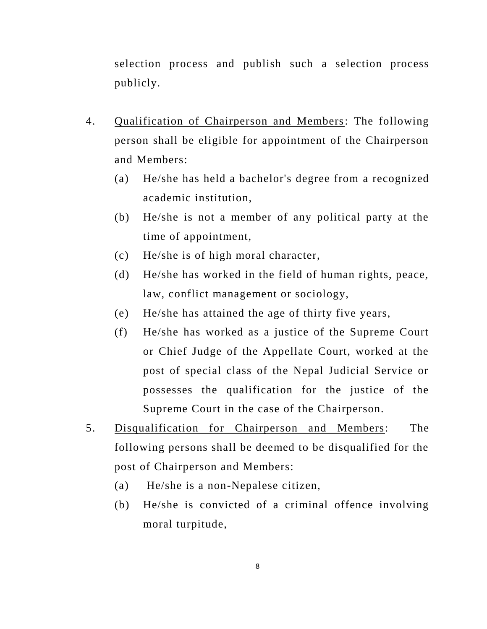selection process and publish such a selection process publicly.

- 4. Qualification of Chairperson and Members: The following person shall be eligible for appointment of the Chairperson and Members:
	- (a) He/she has held a bachelor's degree from a recognized academic institution,
	- (b) He/she is not a member of any political party at the time of appointment,
	- (c) He/she is of high moral character,
	- (d) He/she has worked in the field of human rights, peace, law, conflict management or sociology,
	- (e) He/she has attained the age of thirty five years,
	- (f) He/she has worked as a justice of the Supreme Court or Chief Judge of the Appellate Court, worked at the post of special class of the Nepal Judicial Service or possesses the qualification for the justice of the Supreme Court in the case of the Chairperson.
- 5. Disqualification for Chairperson and Members: The following persons shall be deemed to be disqualified for the post of Chairperson and Members:
	- (a) He/she is a non-Nepalese citizen,
	- (b) He/she is convicted of a criminal offence involving moral turpitude,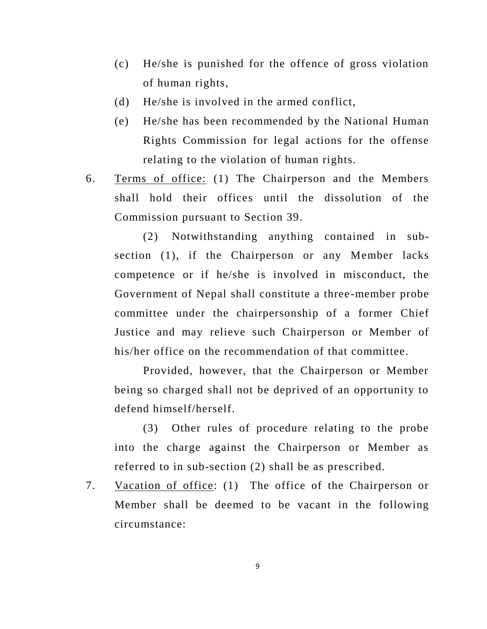- (c) He/she is punished for the offence of gross violation of human rights,
- (d) He/she is involved in the armed conflict,
- (e) He/she has been recommended by the National Human Rights Commission for legal actions for the offense relating to the violation of human rights.
- 6. Terms of office: (1) The Chairperson and the Members shall hold their offices until the dissolution of the Commission pursuant to Section 39.

(2) Notwithstanding anything contained in subsection (1), if the Chairperson or any Member lacks competence or if he/she is involved in misconduct, the Government of Nepal shall constitute a three -member probe committee under the chairpersonship of a former Chief Justice and may relieve such Chairperson or Member of his/her office on the recommendation of that committee.

Provided, however, that the Chairperson or Member being so charged shall not be deprived of an opportunity to defend himself/herself.

(3) Other rules of procedure relating to the probe into the charge against the Chairperson or Member as referred to in sub-section (2) shall be as prescribed.

7. Vacation of office: (1) The office of the Chairperson or Member shall be deemed to be vacant in the following circumstance:

9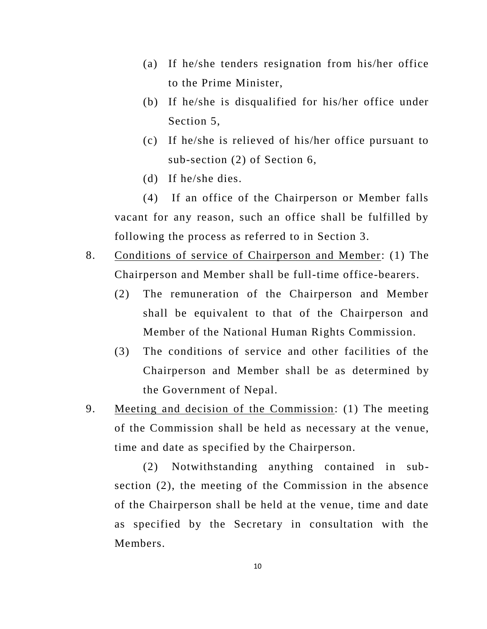- (a) If he/she tenders resignation from his/her office to the Prime Minister,
- (b) If he/she is disqualified for his/her office under Section 5,
- (c) If he/she is relieved of his/her office pursuant to sub-section (2) of Section 6,
- (d) If he/she dies.

(4) If an office of the Chairperson or Member falls vacant for any reason, such an office shall be fulfilled by following the process as referred to in Section 3.

- 8. Conditions of service of Chairperson and Member: (1) The Chairperson and Member shall be full-time office-bearers.
	- (2) The remuneration of the Chairperson and Member shall be equivalent to that of the Chairperson and Member of the National Human Rights Commission.
	- (3) The conditions of service and other facilities of the Chairperson and Member shall be as determined by the Government of Nepal.
- 9. Meeting and decision of the Commission: (1) The meeting of the Commission shall be held as necessary at the venue, time and date as specified by the Chairperson.

(2) Notwithstanding anything contained in subsection (2), the meeting of the Commission in the absence of the Chairperson shall be held at the venue, time and date as specified by the Secretary in consultation with the Members.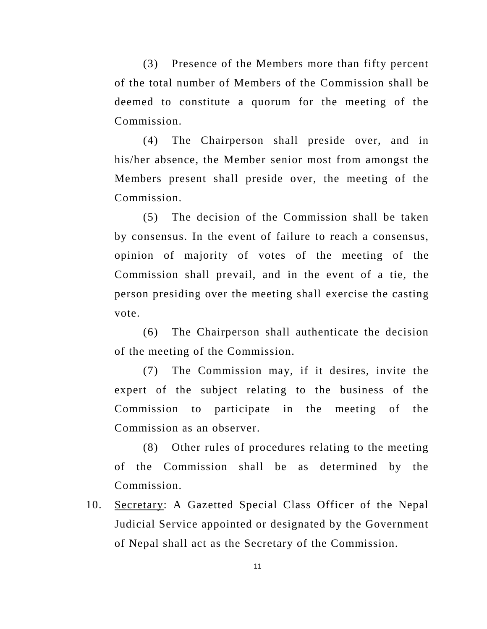(3) Presence of the Members more than fifty percent of the total number of Members of the Commission shall be deemed to constitute a quorum for the meeting of the Commission.

(4) The Chairperson shall preside over, and in his/her absence, the Member senior most from amongst the Members present shall preside over, the meeting of the Commission.

(5) The decision of the Commission shall be taken by consensus. In the event of failure to reach a consensus, opinion of majority of votes of the meeting of the Commission shall prevail, and in the event of a tie, the person presiding over the meeting shall exercise the casting vote.

(6) The Chairperson shall authenticate the decision of the meeting of the Commission.

(7) The Commission may, if it desires, invite the expert of the subject relating to the business of the Commission to participate in the meeting of the Commission as an observer.

(8) Other rules of procedures relating to the meeting of the Commission shall be as determined by the Commission.

10. Secretary: A Gazetted Special Class Officer of the Nepal Judicial Service appointed or designated by the Government of Nepal shall act as the Secretary of the Commission.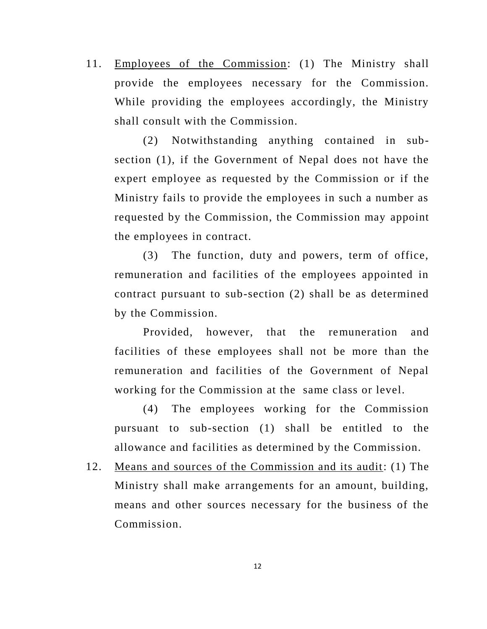11. Employees of the Commission: (1) The Ministry shall provide the employees necessary for the Commission. While providing the employees accordingly, the Ministry shall consult with the Commission.

(2) Notwithstanding anything contained in subsection (1), if the Government of Nepal does not have the expert employee as requested by the Commission or if the Ministry fails to provide the employees in such a number as requested by the Commission, the Commission may appoint the employees in contract.

(3) The function, duty and powers, term of office, remuneration and facilities of the employees appointed in contract pursuant to sub-section (2) shall be as determined by the Commission.

Provided, however, that the remuneration and facilities of these employees shall not be more than the remuneration and facilities of the Government of Nepal working for the Commission at the same class or level.

(4) The employees working for the Commission pursuant to sub-section (1) shall be entitled to the allowance and facilities as determined by the Commission.

12. Means and sources of the Commission and its audit: (1) The Ministry shall make arrangements for an amount, building, means and other sources necessary for the business of the Commission.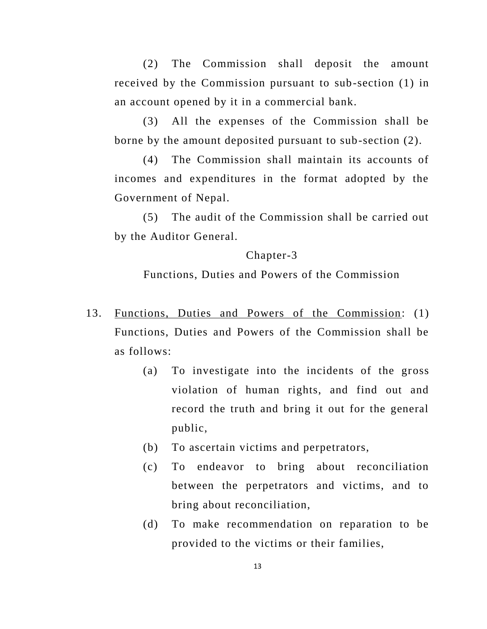(2) The Commission shall deposit the amount received by the Commission pursuant to sub-section (1) in an account opened by it in a commercial bank.

(3) All the expenses of the Commission shall be borne by the amount deposited pursuant to sub-section (2).

(4) The Commission shall maintain its accounts of incomes and expenditures in the format adopted by the Government of Nepal.

(5) The audit of the Commission shall be carried out by the Auditor General.

#### Chapter-3

Functions, Duties and Powers of the Commission

- 13. Functions, Duties and Powers of the Commission: (1) Functions, Duties and Powers of the Commission shall be as follows:
	- (a) To investigate into the incidents of the gross violation of human rights, and find out and record the truth and bring it out for the general public,
	- (b) To ascertain victims and perpetrators,
	- (c) To endeavor to bring about reconciliation between the perpetrators and victims, and to bring about reconciliation,
	- (d) To make recommendation on reparation to be provided to the victims or their families,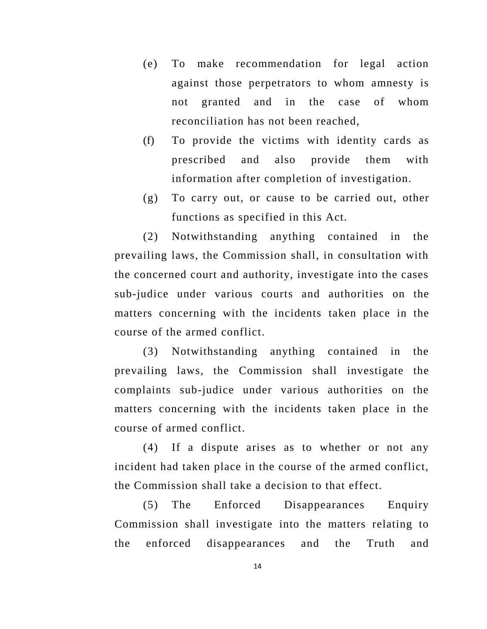- (e) To make recommendation for legal action against those perpetrators to whom amnesty is not granted and in the case of whom reconciliation has not been reached,
- (f) To provide the victims with identity cards as prescribed and also provide them with information after completion of investigation.
- (g) To carry out, or cause to be carried out, other functions as specified in this Act.

(2) Notwithstanding anything contained in the prevailing laws, the Commission shall, in consultation with the concerned court and authority, investigate into the cases sub-judice under various courts and authorities on the matters concerning with the incidents taken place in the course of the armed conflict.

(3) Notwithstanding anything contained in the prevailing laws, the Commission shall investigate the complaints sub-judice under various authorities on the matters concerning with the incidents taken place in the course of armed conflict.

(4) If a dispute arises as to whether or not any incident had taken place in the course of the armed conflict, the Commission shall take a decision to that effect.

(5) The Enforced Disappearances Enquiry Commission shall investigate into the matters relating to the enforced disappearances and the Truth and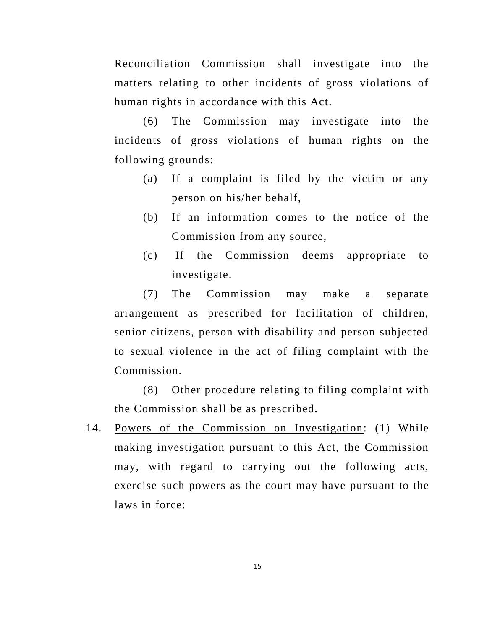Reconciliation Commission shall investigate into the matters relating to other incidents of gross violations of human rights in accordance with this Act.

(6) The Commission may investigate into the incidents of gross violations of human rights on the following grounds:

- (a) If a complaint is filed by the victim or any person on his/her behalf,
- (b) If an information comes to the notice of the Commission from any source,
- (c) If the Commission deems appropriate to investigate.

(7) The Commission may make a separate arrangement as prescribed for facilitation of children, senior citizens, person with disability and person subjected to sexual violence in the act of filing complaint with the Commission.

(8) Other procedure relating to filing complaint with the Commission shall be as prescribed.

14. Powers of the Commission on Investigation: (1) While making investigation pursuant to this Act, the Commission may, with regard to carrying out the following acts, exercise such powers as the court may have pursuant to the laws in force: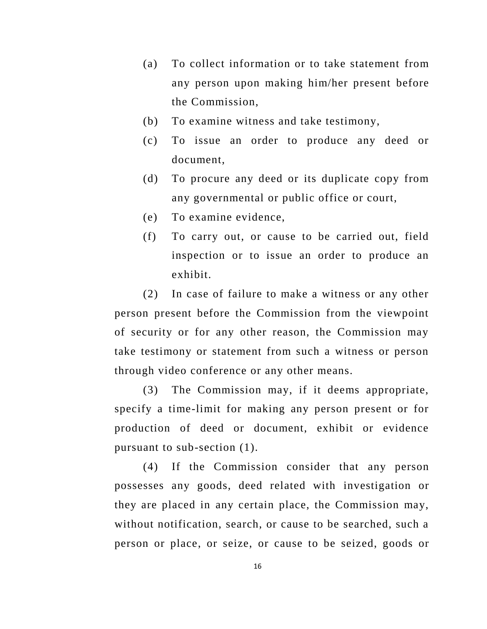- (a) To collect information or to take statement from any person upon making him/her present before the Commission,
- (b) To examine witness and take testimony,
- (c) To issue an order to produce any deed or document,
- (d) To procure any deed or its duplicate copy from any governmental or public office or court,
- (e) To examine evidence,
- (f) To carry out, or cause to be carried out, field inspection or to issue an order to produce an exhibit.

(2) In case of failure to make a witness or any other person present before the Commission from the viewpoint of security or for any other reason, the Commission may take testimony or statement from such a witness or person through video conference or any other means.

(3) The Commission may, if it deems appropriate, specify a time-limit for making any person present or for production of deed or document, exhibit or evidence pursuant to sub-section (1).

(4) If the Commission consider that any person possesses any goods, deed related with investigation or they are placed in any certain place, the Commission may, without notification, search, or cause to be searched, such a person or place, or seize, or cause to be seized, goods or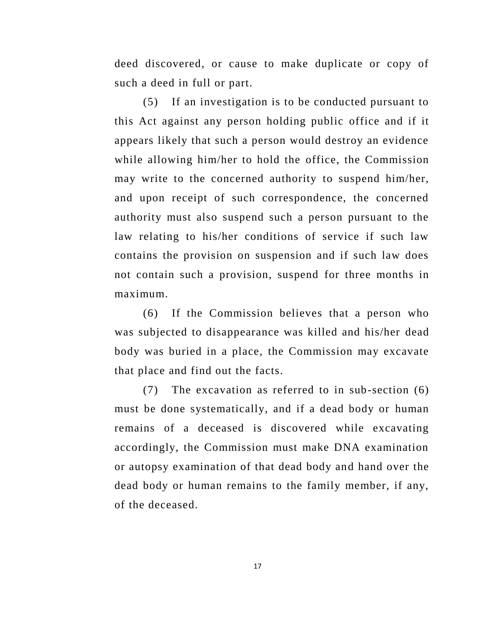deed discovered, or cause to make duplicate or copy of such a deed in full or part.

(5) If an investigation is to be conducted pursuant to this Act against any person holding public office and if it appears likely that such a person would destroy an evidence while allowing him/her to hold the office, the Commission may write to the concerned authority to suspend him/her, and upon receipt of such correspondence, the concerned authority must also suspend such a person pursuant to the law relating to his/her conditions of service if such law contains the provision on suspension and if such law does not contain such a provision, suspend for three months in maximum.

(6) If the Commission believes that a person who was subjected to disappearance was killed and his/her dead body was buried in a place, the Commission may excavate that place and find out the facts.

(7) The excavation as referred to in sub-section (6) must be done systematically, and if a dead body or human remains of a deceased is discovered while excavating accordingly, the Commission must make DNA examination or autopsy examination of that dead body and hand over the dead body or human remains to the family member, if any, of the deceased.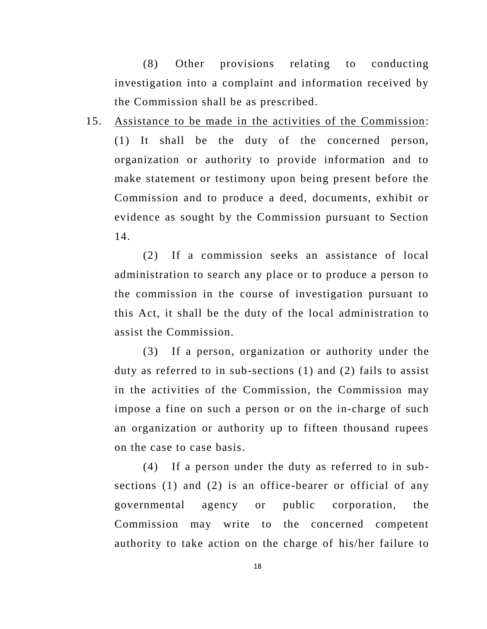(8) Other provisions relating to conducting investigation into a complaint and information received by the Commission shall be as prescribed.

15. Assistance to be made in the activities of the Commission: (1) It shall be the duty of the concerned person, organization or authority to provide information and to make statement or testimony upon being present before the Commission and to produce a deed, documents, exhibit or evidence as sought by the Commission pursuant to Section 14.

(2) If a commission seeks an assistance of local administration to search any place or to produce a person to the commission in the course of investigation pursuant to this Act, it shall be the duty of the local administration to assist the Commission.

(3) If a person, organization or authority under the duty as referred to in sub-sections (1) and (2) fails to assist in the activities of the Commission, the Commission may impose a fine on such a person or on the in-charge of such an organization or authority up to fifteen thousand rupees on the case to case basis.

(4) If a person under the duty as referred to in subsections (1) and (2) is an office-bearer or official of any governmental agency or public corporation, the Commission may write to the concerned competent authority to take action on the charge of his/her failure to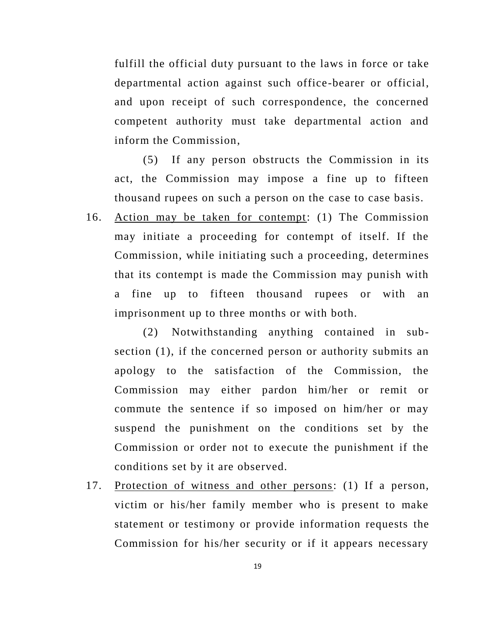fulfill the official duty pursuant to the laws in force or take departmental action against such office-bearer or official, and upon receipt of such correspondence, the concerned competent authority must take departmental action and inform the Commission,

(5) If any person obstructs the Commission in its act, the Commission may impose a fine up to fifteen thousand rupees on such a person on the case to case basis.

16. Action may be taken for contempt: (1) The Commission may initiate a proceeding for contempt of itself. If the Commission, while initiating such a proceeding, determines that its contempt is made the Commission may punish with a fine up to fifteen thousand rupees or with an imprisonment up to three months or with both.

(2) Notwithstanding anything contained in subsection (1), if the concerned person or authority submits an apology to the satisfaction of the Commission, the Commission may either pardon him/her or remit or commute the sentence if so imposed on him/her or may suspend the punishment on the conditions set by the Commission or order not to execute the punishment if the conditions set by it are observed.

17. Protection of witness and other persons: (1) If a person, victim or his/her family member who is present to make statement or testimony or provide information requests the Commission for his/her security or if it appears necessary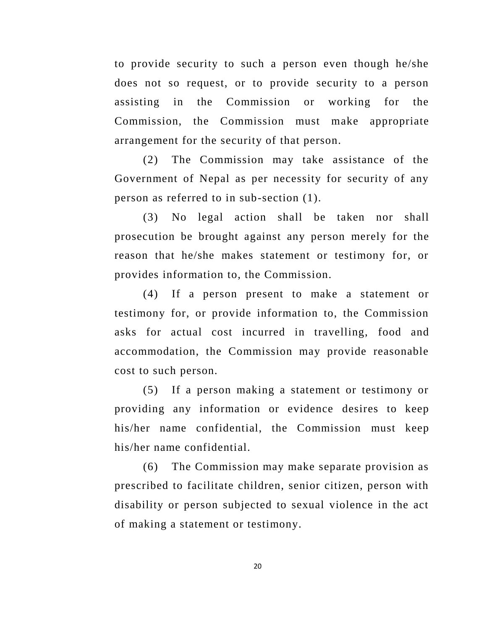to provide security to such a person even though he/she does not so request, or to provide security to a person assisting in the Commission or working for the Commission, the Commission must make appropriate arrangement for the security of that person.

(2) The Commission may take assistance of the Government of Nepal as per necessity for security of any person as referred to in sub-section (1).

(3) No legal action shall be taken nor shall prosecution be brought against any person merely for the reason that he/she makes statement or testimony for, or provides information to, the Commission.

(4) If a person present to make a statement or testimony for, or provide information to, the Commission asks for actual cost incurred in travelling, food and accommodation, the Commission may provide reasonable cost to such person.

(5) If a person making a statement or testimony or providing any information or evidence desires to keep his/her name confidential, the Commission must keep his/her name confidential.

(6) The Commission may make separate provision as prescribed to facilitate children, senior citizen, person with disability or person subjected to sexual violence in the act of making a statement or testimony.

20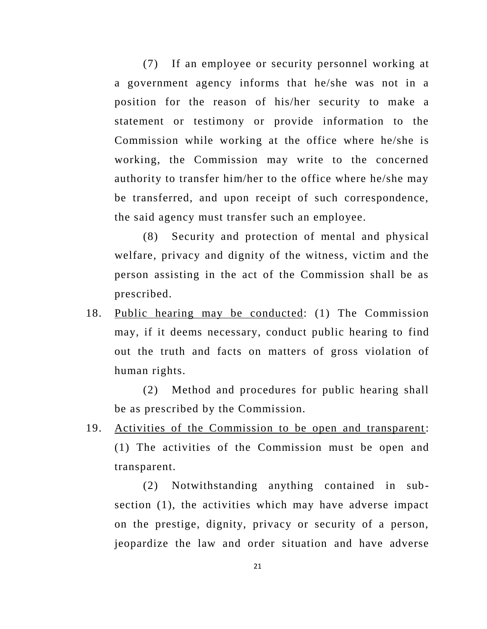(7) If an employee or security personnel working at a government agency informs that he/she was not in a position for the reason of his/her security to make a statement or testimony or provide information to the Commission while working at the office where he/she is working, the Commission may write to the concerned authority to transfer him/her to the office where he/she may be transferred, and upon receipt of such correspondence, the said agency must transfer such an employee.

(8) Security and protection of mental and physical welfare, privacy and dignity of the witness, victim and the person assisting in the act of the Commission shall be as prescribed.

18. Public hearing may be conducted: (1) The Commission may, if it deems necessary, conduct public hearing to find out the truth and facts on matters of gross violation of human rights.

(2) Method and procedures for public hearing shall be as prescribed by the Commission.

19. Activities of the Commission to be open and transparent: (1) The activities of the Commission must be open and transparent.

(2) Notwithstanding anything contained in subsection (1), the activities which may have adverse impact on the prestige, dignity, privacy or security of a person, jeopardize the law and order situation and have adverse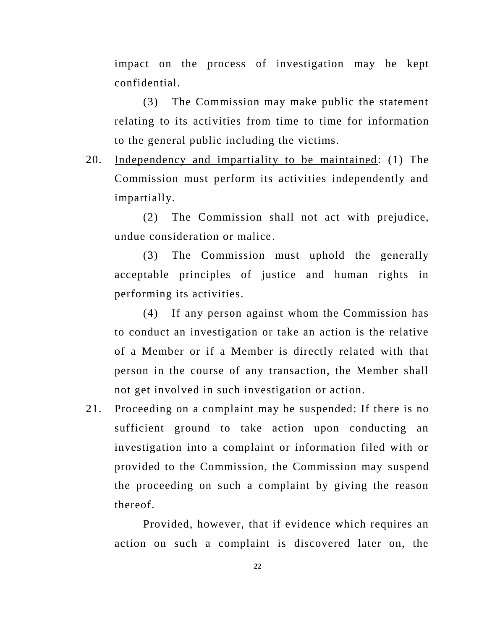impact on the process of investigation may be kept confidential.

(3) The Commission may make public the statement relating to its activities from time to time for information to the general public including the victims.

20. Independency and impartiality to be maintained: (1) The Commission must perform its activities independently and impartially.

(2) The Commission shall not act with prejudice, undue consideration or malice.

(3) The Commission must uphold the generally acceptable principles of justice and human rights in performing its activities.

(4) If any person against whom the Commission has to conduct an investigation or take an action is the relative of a Member or if a Member is directly related with that person in the course of any transaction, the Member shall not get involved in such investigation or action.

21. Proceeding on a complaint may be suspended: If there is no sufficient ground to take action upon conducting an investigation into a complaint or information filed with or provided to the Commission, the Commission may suspend the proceeding on such a complaint by giving the reason thereof.

Provided, however, that if evidence which requires an action on such a complaint is discovered later on, the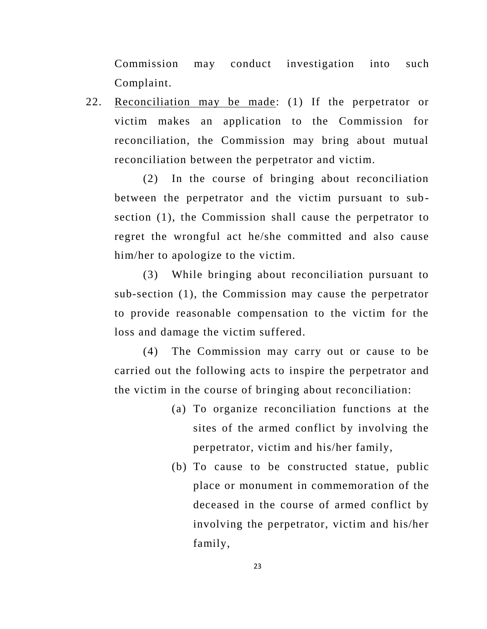Commission may conduct investigation into such Complaint.

22. Reconciliation may be made: (1) If the perpetrator or victim makes an application to the Commission for reconciliation, the Commission may bring about mutual reconciliation between the perpetrator and victim.

(2) In the course of bringing about reconciliation between the perpetrator and the victim pursuant to subsection (1), the Commission shall cause the perpetrator to regret the wrongful act he/she committed and also cause him/her to apologize to the victim.

(3) While bringing about reconciliation pursuant to sub-section (1), the Commission may cause the perpetrator to provide reasonable compensation to the victim for the loss and damage the victim suffered.

(4) The Commission may carry out or cause to be carried out the following acts to inspire the perpetrator and the victim in the course of bringing about reconciliation:

- (a) To organize reconciliation functions at the sites of the armed conflict by involving the perpetrator, victim and his/her family,
- (b) To cause to be constructed statue, public place or monument in commemoration of the deceased in the course of armed conflict by involving the perpetrator, victim and his/her family,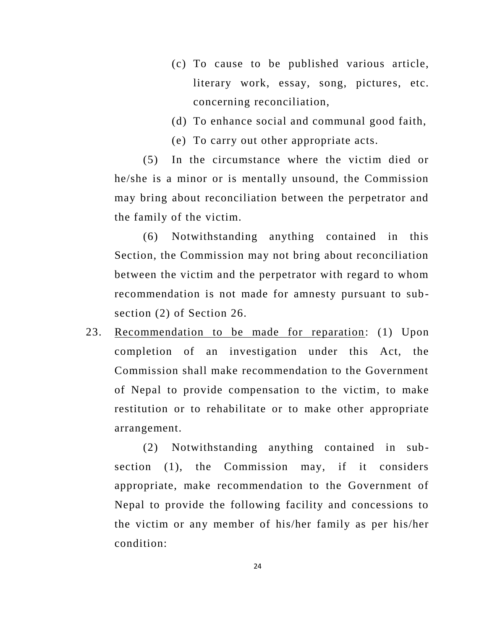- (c) To cause to be published various article, literary work, essay, song, pictures, etc. concerning reconciliation,
- (d) To enhance social and communal good faith,
- (e) To carry out other appropriate acts.

(5) In the circumstance where the victim died or he/she is a minor or is mentally unsound, the Commission may bring about reconciliation between the perpetrator and the family of the victim.

(6) Notwithstanding anything contained in this Section, the Commission may not bring about reconciliation between the victim and the perpetrator with regard to whom recommendation is not made for amnesty pursuant to subsection (2) of Section 26.

23. Recommendation to be made for reparation: (1) Upon completion of an investigation under this Act, the Commission shall make recommendation to the Government of Nepal to provide compensation to the victim, to make restitution or to rehabilitate or to make other appropriate arrangement.

(2) Notwithstanding anything contained in subsection (1), the Commission may, if it considers appropriate, make recommendation to the Government of Nepal to provide the following facility and concessions to the victim or any member of his/her family as per his/her condition: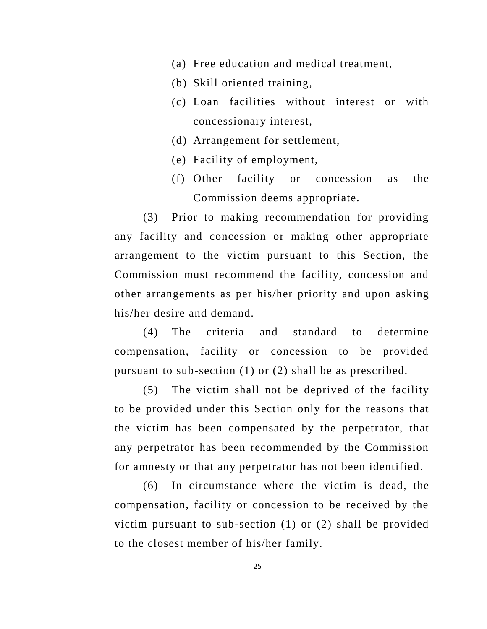- (a) Free education and medical treatment,
- (b) Skill oriented training,
- (c) Loan facilities without interest or with concessionary interest,
- (d) Arrangement for settlement,
- (e) Facility of employment,
- (f) Other facility or concession as the Commission deems appropriate.

(3) Prior to making recommendation for providing any facility and concession or making other appropriate arrangement to the victim pursuant to this Section, the Commission must recommend the facility, concession and other arrangements as per his/her priority and upon asking his/her desire and demand.

(4) The criteria and standard to determine compensation, facility or concession to be provided pursuant to sub-section (1) or (2) shall be as prescribed.

(5) The victim shall not be deprived of the facility to be provided under this Section only for the reasons that the victim has been compensated by the perpetrator, that any perpetrator has been recommended by the Commission for amnesty or that any perpetrator has not been identified.

(6) In circumstance where the victim is dead, the compensation, facility or concession to be received by the victim pursuant to sub-section (1) or (2) shall be provided to the closest member of his/her family.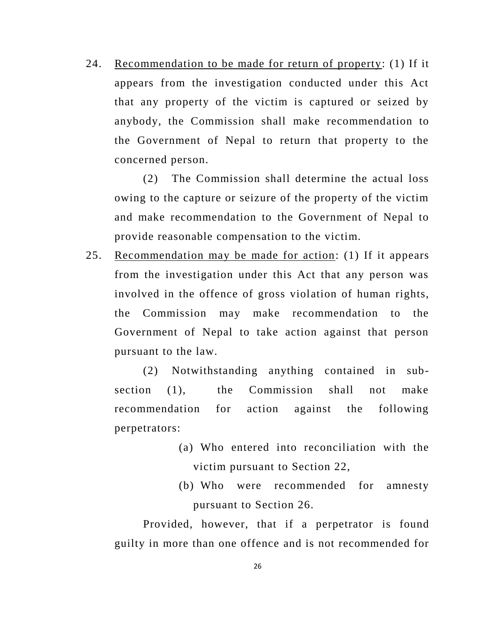24. Recommendation to be made for return of property: (1) If it appears from the investigation conducted under this Act that any property of the victim is captured or seized by anybody, the Commission shall make recommendation to the Government of Nepal to return that property to the concerned person.

(2) The Commission shall determine the actual loss owing to the capture or seizure of the property of the victim and make recommendation to the Government of Nepal to provide reasonable compensation to the victim.

25. Recommendation may be made for action: (1) If it appears from the investigation under this Act that any person was involved in the offence of gross violation of human rights, the Commission may make recommendation to the Government of Nepal to take action against that person pursuant to the law.

(2) Notwithstanding anything contained in subsection (1), the Commission shall not make recommendation for action against the following perpetrators:

- (a) Who entered into reconciliation with the victim pursuant to Section 22,
- (b) Who were recommended for amnesty pursuant to Section 26.

Provided, however, that if a perpetrator is found guilty in more than one offence and is not recommended for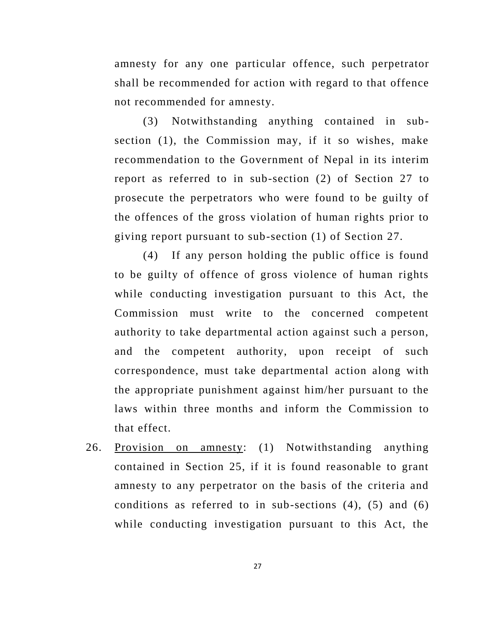amnesty for any one particular offence, such perpetrator shall be recommended for action with regard to that offence not recommended for amnesty.

(3) Notwithstanding anything contained in subsection (1), the Commission may, if it so wishes, make recommendation to the Government of Nepal in its interim report as referred to in sub-section (2) of Section 27 to prosecute the perpetrators who were found to be guilty of the offences of the gross violation of human rights prior to giving report pursuant to sub-section (1) of Section 27.

(4) If any person holding the public office is found to be guilty of offence of gross violence of human rights while conducting investigation pursuant to this Act, the Commission must write to the concerned competent authority to take departmental action against such a person, and the competent authority, upon receipt of such correspondence, must take departmental action along with the appropriate punishment against him/her pursuant to the laws within three months and inform the Commission to that effect.

26. Provision on amnesty: (1) Notwithstanding anything contained in Section 25, if it is found reasonable to grant amnesty to any perpetrator on the basis of the criteria and conditions as referred to in sub-sections (4), (5) and (6) while conducting investigation pursuant to this Act, the

27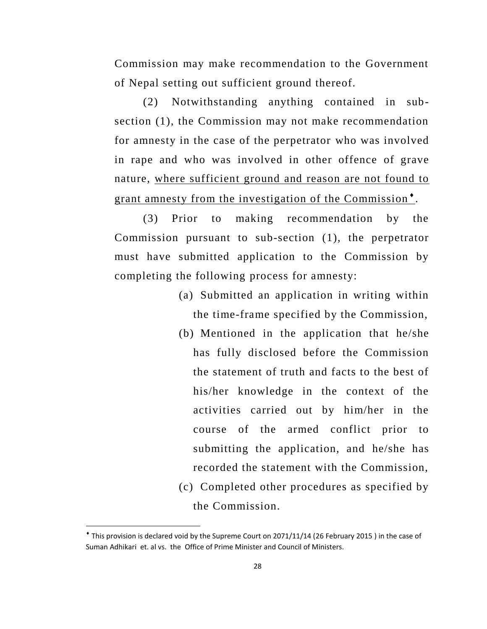Commission may make recommendation to the Government of Nepal setting out sufficient ground thereof.

(2) Notwithstanding anything contained in subsection (1), the Commission may not make recommendation for amnesty in the case of the perpetrator who was involved in rape and who was involved in other offence of grave nature, where sufficient ground and reason are not found to grant amnesty from the investigation of the Commission<sup>\*</sup>.

(3) Prior to making recommendation by the Commission pursuant to sub-section (1), the perpetrator must have submitted application to the Commission by completing the following process for amnesty:

- (a) Submitted an application in writing within the time-frame specified by the Commission,
- (b) Mentioned in the application that he/she has fully disclosed before the Commission the statement of truth and facts to the best of his/her knowledge in the context of the activities carried out by him/her in the course of the armed conflict prior to submitting the application, and he/she has recorded the statement with the Commission,
- (c) Completed other procedures as specified by the Commission.

l

This provision is declared void by the Supreme Court on 2071/11/14 (26 February 2015 ) in the case of Suman Adhikari et. al vs. the Office of Prime Minister and Council of Ministers.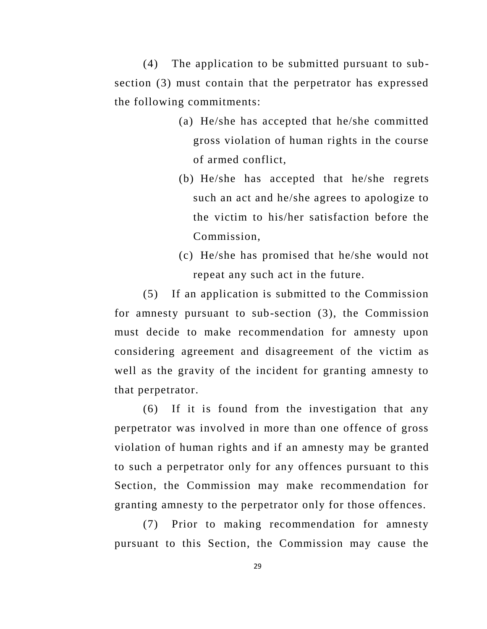(4) The application to be submitted pursuant to subsection (3) must contain that the perpetrator has expressed the following commitments:

- (a) He/she has accepted that he/she committed gross violation of human rights in the course of armed conflict,
- (b) He/she has accepted that he/she regrets such an act and he/she agrees to apologize to the victim to his/her satisfaction before the Commission,
- (c) He/she has promised that he/she would not repeat any such act in the future.

(5) If an application is submitted to the Commission for amnesty pursuant to sub-section (3), the Commission must decide to make recommendation for amnesty upon considering agreement and disagreement of the victim as well as the gravity of the incident for granting amnesty to that perpetrator.

(6) If it is found from the investigation that any perpetrator was involved in more than one offence of gross violation of human rights and if an amnesty may be granted to such a perpetrator only for any offences pursuant to this Section, the Commission may make recommendation for granting amnesty to the perpetrator only for those offences.

(7) Prior to making recommendation for amnesty pursuant to this Section, the Commission may cause the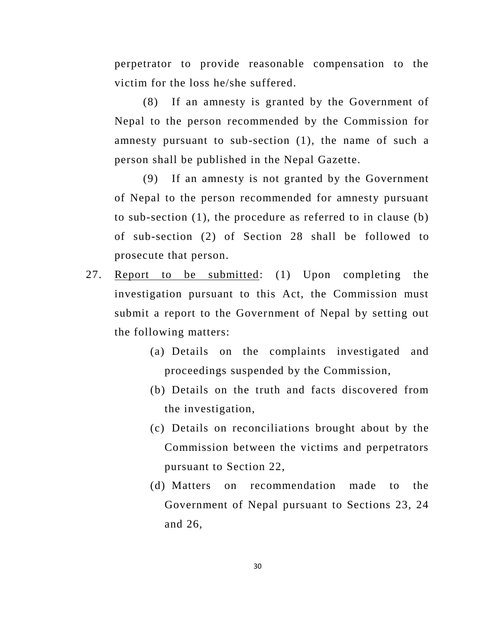perpetrator to provide reasonable compensation to the victim for the loss he/she suffered.

(8) If an amnesty is granted by the Government of Nepal to the person recommended by the Commission for amnesty pursuant to sub-section (1), the name of such a person shall be published in the Nepal Gazette.

(9) If an amnesty is not granted by the Government of Nepal to the person recommended for amnesty pursuant to sub-section (1), the procedure as referred to in clause (b) of sub-section (2) of Section 28 shall be followed to prosecute that person.

- 27. Report to be submitted: (1) Upon completing the investigation pursuant to this Act, the Commission must submit a report to the Government of Nepal by setting out the following matters:
	- (a) Details on the complaints investigated and proceedings suspended by the Commission,
	- (b) Details on the truth and facts discovered from the investigation,
	- (c) Details on reconciliations brought about by the Commission between the victims and perpetrators pursuant to Section 22,
	- (d) Matters on recommendation made to the Government of Nepal pursuant to Sections 23, 24 and 26,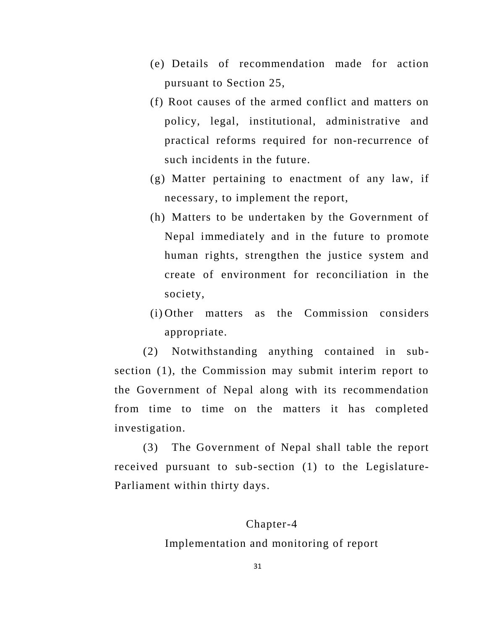- (e) Details of recommendation made for action pursuant to Section 25,
- (f) Root causes of the armed conflict and matters on policy, legal, institutional, administrative and practical reforms required for non-recurrence of such incidents in the future.
- (g) Matter pertaining to enactment of any law, if necessary, to implement the report,
- (h) Matters to be undertaken by the Government of Nepal immediately and in the future to promote human rights, strengthen the justice system and create of environment for reconciliation in the society,
- (i) Other matters as the Commission considers appropriate.

(2) Notwithstanding anything contained in subsection (1), the Commission may submit interim report to the Government of Nepal along with its recommendation from time to time on the matters it has completed investigation.

(3) The Government of Nepal shall table the report received pursuant to sub-section (1) to the Legislature-Parliament within thirty days.

#### Chapter-4

Implementation and monitoring of report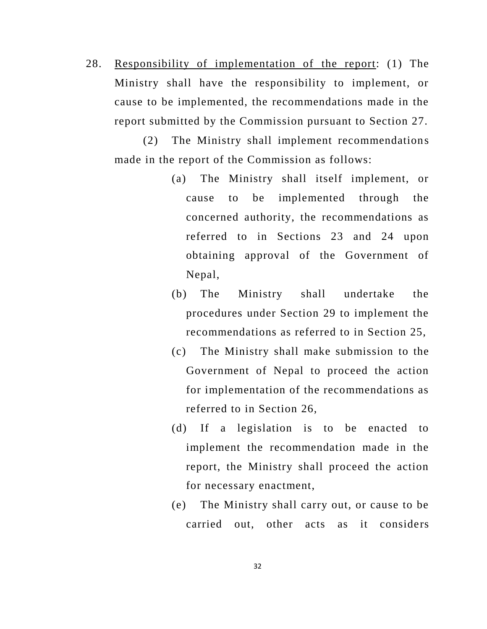28. Responsibility of implementation of the report: (1) The Ministry shall have the responsibility to implement, or cause to be implemented, the recommendations made in the report submitted by the Commission pursuant to Section 27.

(2) The Ministry shall implement recommendations made in the report of the Commission as follows:

- (a) The Ministry shall itself implement, or cause to be implemented through the concerned authority, the recommendations as referred to in Sections 23 and 24 upon obtaining approval of the Government of Nepal,
- (b) The Ministry shall undertake the procedures under Section 29 to implement the recommendations as referred to in Section 25,
- (c) The Ministry shall make submission to the Government of Nepal to proceed the action for implementation of the recommendations as referred to in Section 26,
- (d) If a legislation is to be enacted to implement the recommendation made in the report, the Ministry shall proceed the action for necessary enactment,
- (e) The Ministry shall carry out, or cause to be carried out, other acts as it considers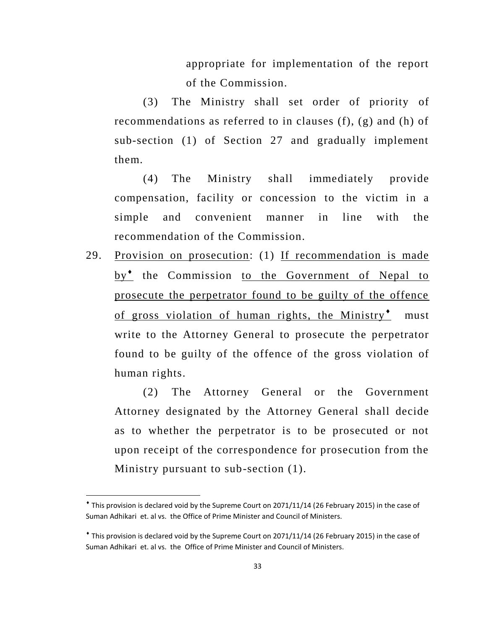appropriate for implementation of the report of the Commission.

(3) The Ministry shall set order of priority of recommendations as referred to in clauses (f), (g) and (h) of sub-section (1) of Section 27 and gradually implement them.

(4) The Ministry shall immediately provide compensation, facility or concession to the victim in a simple and convenient manner in line with the recommendation of the Commission.

29. Provision on prosecution: (1) If recommendation is made by<sup>\*</sup> the Commission to the Government of Nepal to prosecute the perpetrator found to be guilty of the offence of gross violation of human rights, the Ministry $^*$  must write to the Attorney General to prosecute the perpetrator found to be guilty of the offence of the gross violation of human rights.

(2) The Attorney General or the Government Attorney designated by the Attorney General shall decide as to whether the perpetrator is to be prosecuted or not upon receipt of the correspondence for prosecution from the Ministry pursuant to sub-section (1).

l

This provision is declared void by the Supreme Court on 2071/11/14 (26 February 2015) in the case of Suman Adhikari et. al vs. the Office of Prime Minister and Council of Ministers.

This provision is declared void by the Supreme Court on 2071/11/14 (26 February 2015) in the case of Suman Adhikari et. al vs. the Office of Prime Minister and Council of Ministers.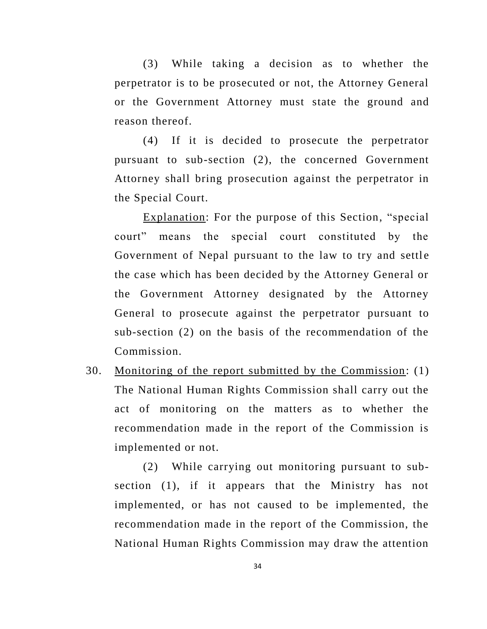(3) While taking a decision as to whether the perpetrator is to be prosecuted or not, the Attorney General or the Government Attorney must state the ground and reason thereof.

(4) If it is decided to prosecute the perpetrator pursuant to sub-section (2), the concerned Government Attorney shall bring prosecution against the perpetrator in the Special Court.

Explanation: For the purpose of this Section, "special court" means the special court constituted by the Government of Nepal pursuant to the law to try and settle the case which has been decided by the Attorney General or the Government Attorney designated by the Attorney General to prosecute against the perpetrator pursuant to sub-section (2) on the basis of the recommendation of the Commission.

30. Monitoring of the report submitted by the Commission: (1) The National Human Rights Commission shall carry out the act of monitoring on the matters as to whether the recommendation made in the report of the Commission is implemented or not.

(2) While carrying out monitoring pursuant to subsection (1), if it appears that the Ministry has not implemented, or has not caused to be implemented, the recommendation made in the report of the Commission, the National Human Rights Commission may draw the attention

34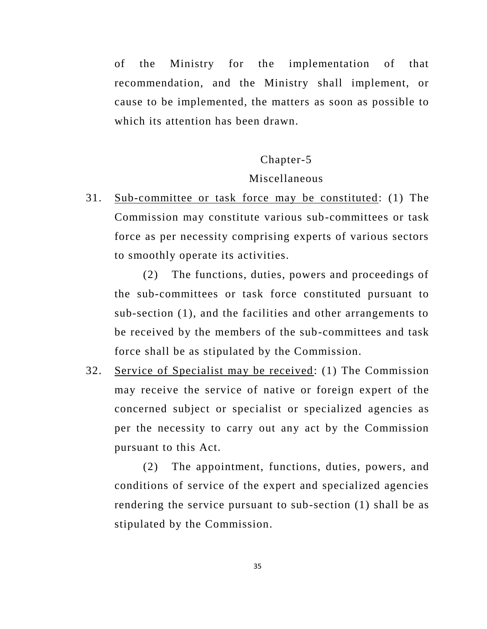of the Ministry for the implementation of that recommendation, and the Ministry shall implement, or cause to be implemented, the matters as soon as possible to which its attention has been drawn.

#### Chapter-5

#### Miscellaneous

31. Sub-committee or task force may be constituted: (1) The Commission may constitute various sub-committees or task force as per necessity comprising experts of various sectors to smoothly operate its activities.

(2) The functions, duties, powers and proceedings of the sub-committees or task force constituted pursuant to sub-section (1), and the facilities and other arrangements to be received by the members of the sub-committees and task force shall be as stipulated by the Commission.

32. Service of Specialist may be received: (1) The Commission may receive the service of native or foreign expert of the concerned subject or specialist or specialized agencies as per the necessity to carry out any act by the Commission pursuant to this Act.

(2) The appointment, functions, duties, powers, and conditions of service of the expert and specialized agencies rendering the service pursuant to sub-section (1) shall be as stipulated by the Commission.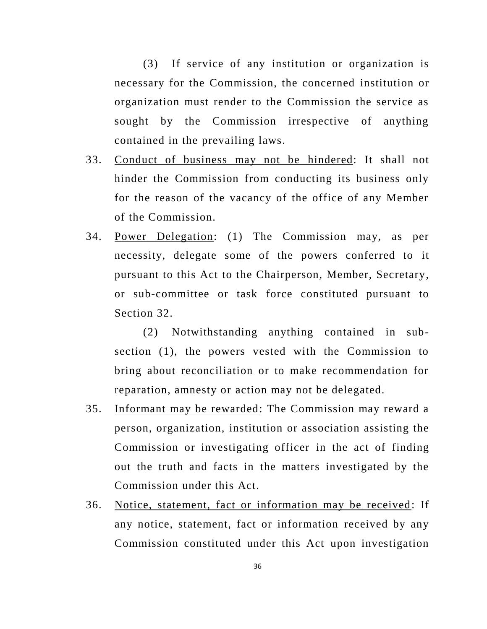(3) If service of any institution or organization is necessary for the Commission, the concerned institution or organization must render to the Commission the service as sought by the Commission irrespective of anything contained in the prevailing laws.

- 33. Conduct of business may not be hindered: It shall not hinder the Commission from conducting its business only for the reason of the vacancy of the office of any Member of the Commission.
- 34. Power Delegation: (1) The Commission may, as per necessity, delegate some of the powers conferred to it pursuant to this Act to the Chairperson, Member, Secretary, or sub-committee or task force constituted pursuant to Section 32.

(2) Notwithstanding anything contained in subsection (1), the powers vested with the Commission to bring about reconciliation or to make recommendation for reparation, amnesty or action may not be delegated.

- 35. Informant may be rewarded: The Commission may reward a person, organization, institution or association assisting the Commission or investigating officer in the act of finding out the truth and facts in the matters investigated by the Commission under this Act.
- 36. Notice, statement, fact or information may be received: If any notice, statement, fact or information received by any Commission constituted under this Act upon investigation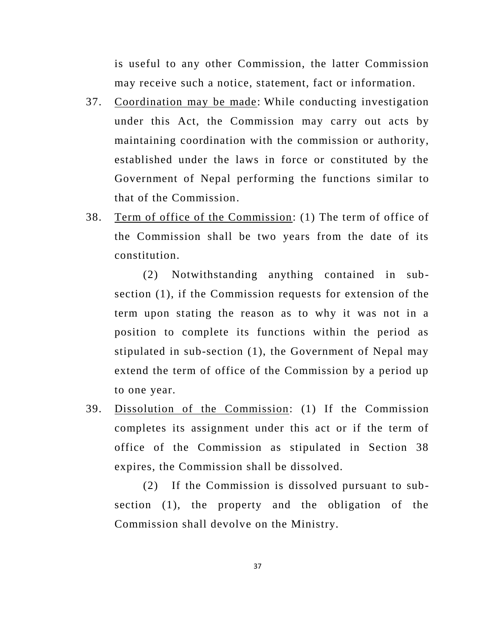is useful to any other Commission, the latter Commission may receive such a notice, statement, fact or information.

- 37. Coordination may be made: While conducting investigation under this Act, the Commission may carry out acts by maintaining coordination with the commission or authority, established under the laws in force or constituted by the Government of Nepal performing the functions similar to that of the Commission.
- 38. Term of office of the Commission: (1) The term of office of the Commission shall be two years from the date of its constitution.

(2) Notwithstanding anything contained in subsection (1), if the Commission requests for extension of the term upon stating the reason as to why it was not in a position to complete its functions within the period as stipulated in sub-section (1), the Government of Nepal may extend the term of office of the Commission by a period up to one year.

39. Dissolution of the Commission: (1) If the Commission completes its assignment under this act or if the term of office of the Commission as stipulated in Section 38 expires, the Commission shall be dissolved.

(2) If the Commission is dissolved pursuant to subsection (1), the property and the obligation of the Commission shall devolve on the Ministry.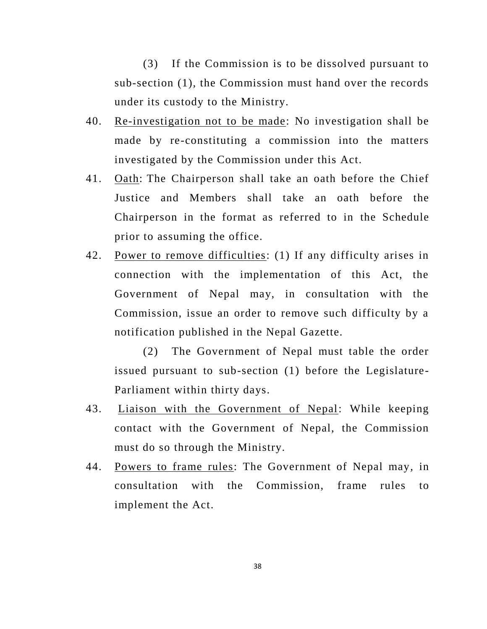(3) If the Commission is to be dissolved pursuant to sub-section (1), the Commission must hand over the records under its custody to the Ministry.

- 40. Re-investigation not to be made: No investigation shall be made by re-constituting a commission into the matters investigated by the Commission under this Act.
- 41. Oath: The Chairperson shall take an oath before the Chief Justice and Members shall take an oath before the Chairperson in the format as referred to in the Schedule prior to assuming the office.
- 42. Power to remove difficulties: (1) If any difficulty arises in connection with the implementation of this Act, the Government of Nepal may, in consultation with the Commission, issue an order to remove such difficulty by a notification published in the Nepal Gazette.

(2) The Government of Nepal must table the order issued pursuant to sub-section (1) before the Legislature-Parliament within thirty days.

- 43. Liaison with the Government of Nepal: While keeping contact with the Government of Nepal, the Commission must do so through the Ministry.
- 44. Powers to frame rules: The Government of Nepal may, in consultation with the Commission, frame rules to implement the Act.